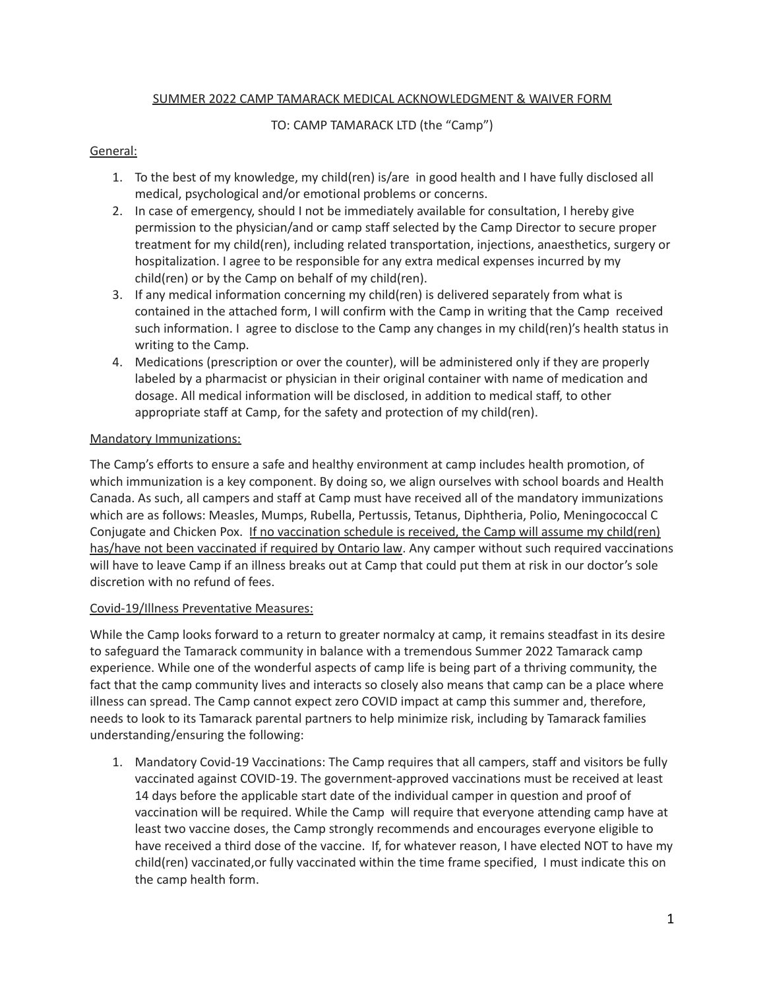## SUMMER 2022 CAMP TAMARACK MEDICAL ACKNOWLEDGMENT & WAIVER FORM

## TO: CAMP TAMARACK LTD (the "Camp")

## General:

- 1. To the best of my knowledge, my child(ren) is/are in good health and I have fully disclosed all medical, psychological and/or emotional problems or concerns.
- 2. In case of emergency, should I not be immediately available for consultation, I hereby give permission to the physician/and or camp staff selected by the Camp Director to secure proper treatment for my child(ren), including related transportation, injections, anaesthetics, surgery or hospitalization. I agree to be responsible for any extra medical expenses incurred by my child(ren) or by the Camp on behalf of my child(ren).
- 3. If any medical information concerning my child(ren) is delivered separately from what is contained in the attached form, I will confirm with the Camp in writing that the Camp received such information. I agree to disclose to the Camp any changes in my child(ren)'s health status in writing to the Camp.
- 4. Medications (prescription or over the counter), will be administered only if they are properly labeled by a pharmacist or physician in their original container with name of medication and dosage. All medical information will be disclosed, in addition to medical staff, to other appropriate staff at Camp, for the safety and protection of my child(ren).

## Mandatory Immunizations:

The Camp's efforts to ensure a safe and healthy environment at camp includes health promotion, of which immunization is a key component. By doing so, we align ourselves with school boards and Health Canada. As such, all campers and staff at Camp must have received all of the mandatory immunizations which are as follows: Measles, Mumps, Rubella, Pertussis, Tetanus, Diphtheria, Polio, Meningococcal C Conjugate and Chicken Pox. If no vaccination schedule is received, the Camp will assume my child(ren) has/have not been vaccinated if required by Ontario law. Any camper without such required vaccinations will have to leave Camp if an illness breaks out at Camp that could put them at risk in our doctor's sole discretion with no refund of fees.

# Covid-19/Illness Preventative Measures:

While the Camp looks forward to a return to greater normalcy at camp, it remains steadfast in its desire to safeguard the Tamarack community in balance with a tremendous Summer 2022 Tamarack camp experience. While one of the wonderful aspects of camp life is being part of a thriving community, the fact that the camp community lives and interacts so closely also means that camp can be a place where illness can spread. The Camp cannot expect zero COVID impact at camp this summer and, therefore, needs to look to its Tamarack parental partners to help minimize risk, including by Tamarack families understanding/ensuring the following:

1. Mandatory Covid-19 Vaccinations: The Camp requires that all campers, staff and visitors be fully vaccinated against COVID-19. The government-approved vaccinations must be received at least 14 days before the applicable start date of the individual camper in question and proof of vaccination will be required. While the Camp will require that everyone attending camp have at least two vaccine doses, the Camp strongly recommends and encourages everyone eligible to have received a third dose of the vaccine. If, for whatever reason, I have elected NOT to have my child(ren) vaccinated,or fully vaccinated within the time frame specified, I must indicate this on the camp health form.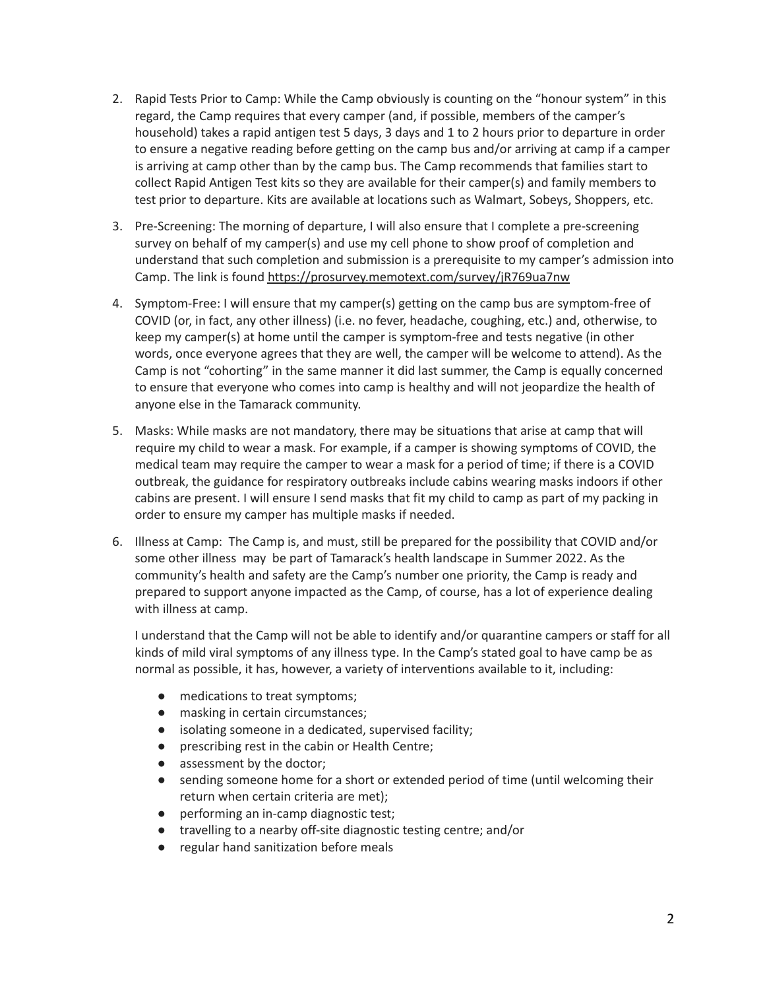- 2. Rapid Tests Prior to Camp: While the Camp obviously is counting on the "honour system" in this regard, the Camp requires that every camper (and, if possible, members of the camper's household) takes a rapid antigen test 5 days, 3 days and 1 to 2 hours prior to departure in order to ensure a negative reading before getting on the camp bus and/or arriving at camp if a camper is arriving at camp other than by the camp bus. The Camp recommends that families start to collect Rapid Antigen Test kits so they are available for their camper(s) and family members to test prior to departure. Kits are available at locations such as Walmart, Sobeys, Shoppers, etc.
- 3. Pre-Screening: The morning of departure, I will also ensure that I complete a pre-screening survey on behalf of my camper(s) and use my cell phone to show proof of completion and understand that such completion and submission is a prerequisite to my camper's admission into Camp. The link is found <https://prosurvey.memotext.com/survey/jR769ua7nw>
- 4. Symptom-Free: I will ensure that my camper(s) getting on the camp bus are symptom-free of COVID (or, in fact, any other illness) (i.e. no fever, headache, coughing, etc.) and, otherwise, to keep my camper(s) at home until the camper is symptom-free and tests negative (in other words, once everyone agrees that they are well, the camper will be welcome to attend). As the Camp is not "cohorting" in the same manner it did last summer, the Camp is equally concerned to ensure that everyone who comes into camp is healthy and will not jeopardize the health of anyone else in the Tamarack community.
- 5. Masks: While masks are not mandatory, there may be situations that arise at camp that will require my child to wear a mask. For example, if a camper is showing symptoms of COVID, the medical team may require the camper to wear a mask for a period of time; if there is a COVID outbreak, the guidance for respiratory outbreaks include cabins wearing masks indoors if other cabins are present. I will ensure I send masks that fit my child to camp as part of my packing in order to ensure my camper has multiple masks if needed.
- 6. Illness at Camp: The Camp is, and must, still be prepared for the possibility that COVID and/or some other illness may be part of Tamarack's health landscape in Summer 2022. As the community's health and safety are the Camp's number one priority, the Camp is ready and prepared to support anyone impacted as the Camp, of course, has a lot of experience dealing with illness at camp.

I understand that the Camp will not be able to identify and/or quarantine campers or staff for all kinds of mild viral symptoms of any illness type. In the Camp's stated goal to have camp be as normal as possible, it has, however, a variety of interventions available to it, including:

- medications to treat symptoms;
- masking in certain circumstances;
- isolating someone in a dedicated, supervised facility;
- prescribing rest in the cabin or Health Centre;
- assessment by the doctor;
- sending someone home for a short or extended period of time (until welcoming their return when certain criteria are met);
- performing an in-camp diagnostic test;
- travelling to a nearby off-site diagnostic testing centre; and/or
- regular hand sanitization before meals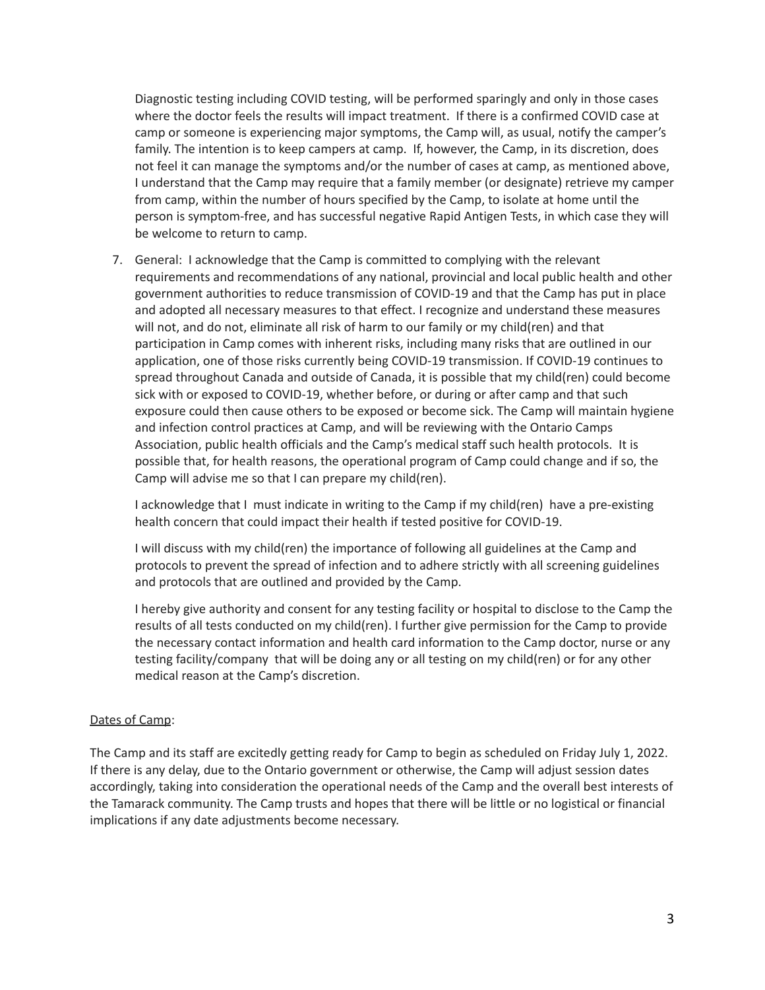Diagnostic testing including COVID testing, will be performed sparingly and only in those cases where the doctor feels the results will impact treatment. If there is a confirmed COVID case at camp or someone is experiencing major symptoms, the Camp will, as usual, notify the camper's family. The intention is to keep campers at camp. If, however, the Camp, in its discretion, does not feel it can manage the symptoms and/or the number of cases at camp, as mentioned above, I understand that the Camp may require that a family member (or designate) retrieve my camper from camp, within the number of hours specified by the Camp, to isolate at home until the person is symptom-free, and has successful negative Rapid Antigen Tests, in which case they will be welcome to return to camp.

7. General: I acknowledge that the Camp is committed to complying with the relevant requirements and recommendations of any national, provincial and local public health and other government authorities to reduce transmission of COVID-19 and that the Camp has put in place and adopted all necessary measures to that effect. I recognize and understand these measures will not, and do not, eliminate all risk of harm to our family or my child(ren) and that participation in Camp comes with inherent risks, including many risks that are outlined in our application, one of those risks currently being COVID-19 transmission. If COVID-19 continues to spread throughout Canada and outside of Canada, it is possible that my child(ren) could become sick with or exposed to COVID-19, whether before, or during or after camp and that such exposure could then cause others to be exposed or become sick. The Camp will maintain hygiene and infection control practices at Camp, and will be reviewing with the Ontario Camps Association, public health officials and the Camp's medical staff such health protocols. It is possible that, for health reasons, the operational program of Camp could change and if so, the Camp will advise me so that I can prepare my child(ren).

I acknowledge that I must indicate in writing to the Camp if my child(ren) have a pre-existing health concern that could impact their health if tested positive for COVID-19.

I will discuss with my child(ren) the importance of following all guidelines at the Camp and protocols to prevent the spread of infection and to adhere strictly with all screening guidelines and protocols that are outlined and provided by the Camp.

I hereby give authority and consent for any testing facility or hospital to disclose to the Camp the results of all tests conducted on my child(ren). I further give permission for the Camp to provide the necessary contact information and health card information to the Camp doctor, nurse or any testing facility/company that will be doing any or all testing on my child(ren) or for any other medical reason at the Camp's discretion.

#### Dates of Camp:

The Camp and its staff are excitedly getting ready for Camp to begin as scheduled on Friday July 1, 2022. If there is any delay, due to the Ontario government or otherwise, the Camp will adjust session dates accordingly, taking into consideration the operational needs of the Camp and the overall best interests of the Tamarack community. The Camp trusts and hopes that there will be little or no logistical or financial implications if any date adjustments become necessary.